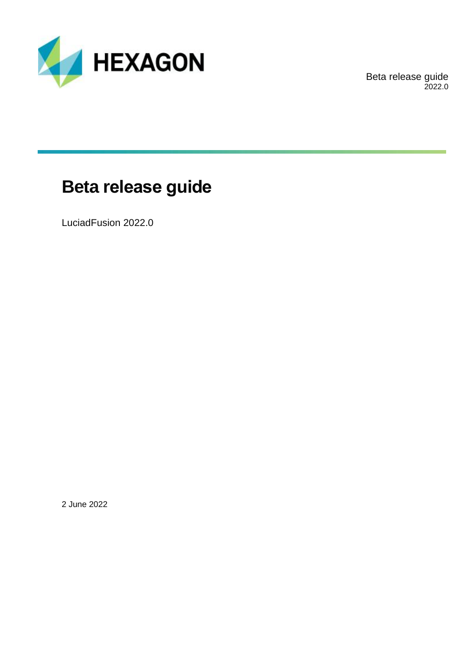

Beta release guide 2022.0

## **Beta release guide**

LuciadFusion 2022.0

2 June 2022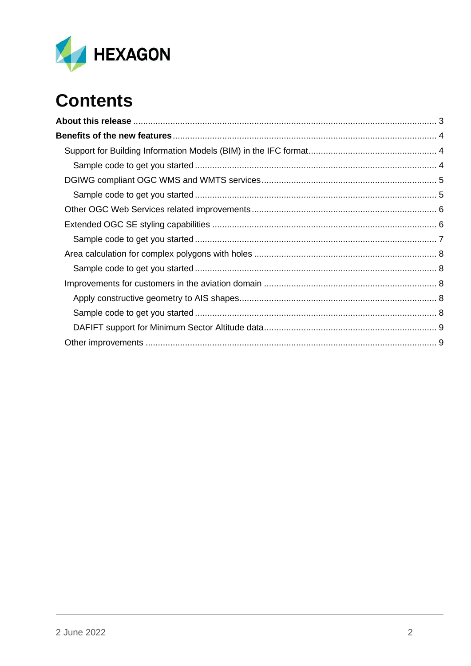

# **Contents**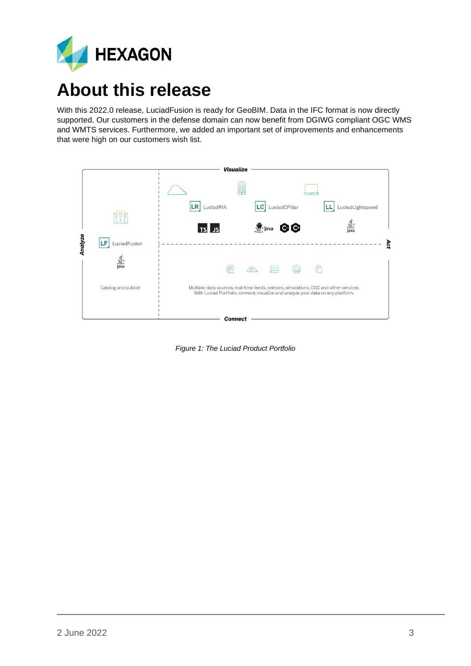

## <span id="page-2-0"></span>**About this release**

With this 2022.0 release, LuciadFusion is ready for GeoBIM. Data in the IFC format is now directly supported. Our customers in the defense domain can now benefit from DGIWG compliant OGC WMS and WMTS services. Furthermore, we added an important set of improvements and enhancements that were high on our customers wish list.

|         |                              | <b>Visualize</b>                                                                                                                                                          |     |
|---------|------------------------------|---------------------------------------------------------------------------------------------------------------------------------------------------------------------------|-----|
|         |                              | 胆                                                                                                                                                                         |     |
|         | =                            | <b>LR</b><br>LuciadCPillar<br>LuciadRIA<br> CC <br>LuciadLightspeed                                                                                                       |     |
|         | $\circ$                      | $\frac{1}{2}$<br>Java<br>GG<br><b>D</b> Java<br>TS JS                                                                                                                     |     |
| Analyze | LF<br>LuciadFusion           |                                                                                                                                                                           | Act |
|         | $\frac{1}{\sqrt{2}}$<br>Java | $\widetilde{\mathbb{C}}$<br>r<br>今                                                                                                                                        |     |
|         | Catalog and publish          | Multiple data sources, real-time feeds, sensors, simulations, OGC and other services.<br>With Luciad Portfolio, connect, visualize and analyze your data on any platform. |     |
|         |                              | <b>Connect</b>                                                                                                                                                            |     |

*Figure 1: The Luciad Product Portfolio*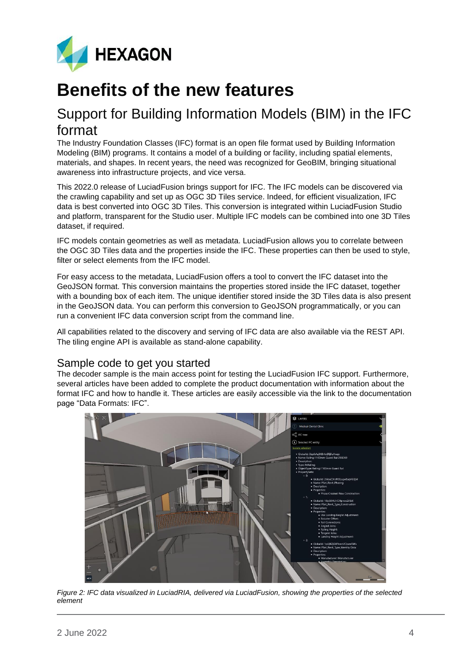

## <span id="page-3-0"></span>**Benefits of the new features**

### <span id="page-3-1"></span>Support for Building Information Models (BIM) in the IFC format

The Industry Foundation Classes (IFC) format is an open file format used by Building Information Modeling (BIM) programs. It contains a model of a building or facility, including spatial elements, materials, and shapes. In recent years, the need was recognized for GeoBIM, bringing situational awareness into infrastructure projects, and vice versa.

This 2022.0 release of LuciadFusion brings support for IFC. The IFC models can be discovered via the crawling capability and set up as OGC 3D Tiles service. Indeed, for efficient visualization, IFC data is best converted into OGC 3D Tiles. This conversion is integrated within LuciadFusion Studio and platform, transparent for the Studio user. Multiple IFC models can be combined into one 3D Tiles dataset, if required.

IFC models contain geometries as well as metadata. LuciadFusion allows you to correlate between the OGC 3D Tiles data and the properties inside the IFC. These properties can then be used to style, filter or select elements from the IFC model.

For easy access to the metadata, LuciadFusion offers a tool to convert the IFC dataset into the GeoJSON format. This conversion maintains the properties stored inside the IFC dataset, together with a bounding box of each item. The unique identifier stored inside the 3D Tiles data is also present in the GeoJSON data. You can perform this conversion to GeoJSON programmatically, or you can run a convenient IFC data conversion script from the command line.

All capabilities related to the discovery and serving of IFC data are also available via the REST API. The tiling engine API is available as stand-alone capability.

### <span id="page-3-2"></span>Sample code to get you started

The decoder sample is the main access point for testing the LuciadFusion IFC support. Furthermore, several articles have been added to complete the product documentation with information about the format IFC and how to handle it. These articles are easily accessible via the link to the documentation page "Data Formats: IFC".



*Figure 2: IFC data visualized in LuciadRIA, delivered via LuciadFusion, showing the properties of the selected element*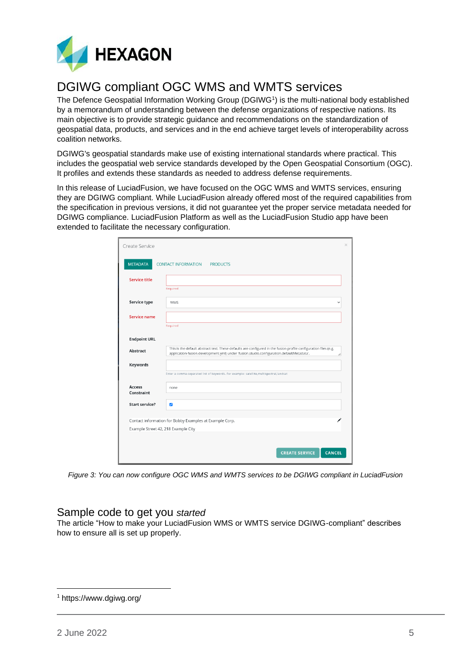

### <span id="page-4-0"></span>DGIWG compliant OGC WMS and WMTS services

The Defence Geospatial Information Working Group (DGIWG<sup>1</sup>) is the multi-national body established by a memorandum of understanding between the defense organizations of respective nations. Its main objective is to provide strategic guidance and recommendations on the standardization of geospatial data, products, and services and in the end achieve target levels of interoperability across coalition networks.

DGIWG's geospatial standards make use of existing international standards where practical. This includes the geospatial web service standards developed by the Open Geospatial Consortium (OGC). It profiles and extends these standards as needed to address defense requirements.

In this release of LuciadFusion, we have focused on the OGC WMS and WMTS services, ensuring they are DGIWG compliant. While LuciadFusion already offered most of the required capabilities from the specification in previous versions, it did not guarantee yet the proper service metadata needed for DGIWG compliance. LuciadFusion Platform as well as the LuciadFusion Studio app have been extended to facilitate the necessary configuration.

| Create Service              |                                                                                                                                                                                                                   | $\times$ |
|-----------------------------|-------------------------------------------------------------------------------------------------------------------------------------------------------------------------------------------------------------------|----------|
| <b>METADATA</b>             | <b>CONTACT INFORMATION</b><br><b>PRODUCTS</b>                                                                                                                                                                     |          |
| <b>Service title</b>        |                                                                                                                                                                                                                   |          |
|                             | Required                                                                                                                                                                                                          |          |
| Service type                | <b>WMS</b>                                                                                                                                                                                                        |          |
| <b>Service name</b>         |                                                                                                                                                                                                                   |          |
|                             | Required                                                                                                                                                                                                          |          |
| <b>Endpoint URL</b>         |                                                                                                                                                                                                                   |          |
| Abstract                    | This is the default abstract text. These defaults are configured in the fusion profile configuration files (e.g.<br>application-fusion.development.yml) under 'fusion.studio.configuration.defaultMetadata'.<br>í |          |
| <b>Keywords</b>             |                                                                                                                                                                                                                   |          |
|                             | Enter a comma-separated list of keywords. For example: satellite, multispectral, landsat                                                                                                                          |          |
| <b>Access</b><br>Constraint | none                                                                                                                                                                                                              |          |
| <b>Start service?</b>       | $\overline{\mathbf{v}}$                                                                                                                                                                                           |          |
|                             | Contact information for Bobby Examples at Example Corp.                                                                                                                                                           |          |
|                             | Example Street 42, 218 Example City                                                                                                                                                                               |          |
|                             |                                                                                                                                                                                                                   |          |
|                             |                                                                                                                                                                                                                   |          |
|                             | <b>CREATE SERVICE</b><br><b>CANCEL</b>                                                                                                                                                                            |          |

*Figure 3: You can now configure OGC WMS and WMTS services to be DGIWG compliant in LuciadFusion*

### <span id="page-4-1"></span>Sample code to get you *started*

The article "How to make your LuciadFusion WMS or WMTS service DGIWG-compliant" describes how to ensure all is set up properly.

<sup>1</sup> https://www.dgiwg.org/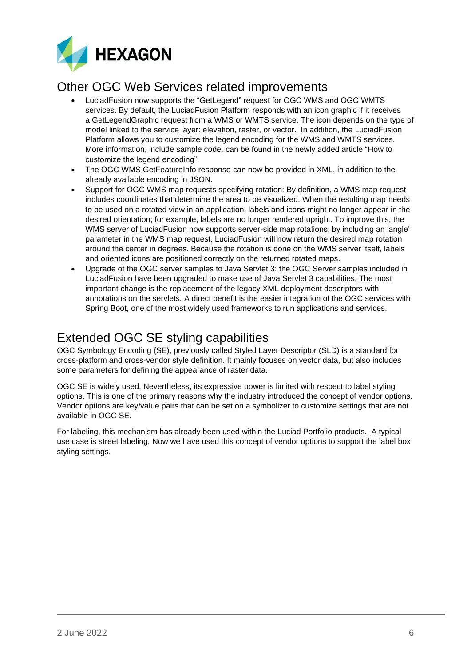

### <span id="page-5-0"></span>Other OGC Web Services related improvements

- LuciadFusion now supports the "GetLegend" request for OGC WMS and OGC WMTS services. By default, the LuciadFusion Platform responds with an icon graphic if it receives a GetLegendGraphic request from a WMS or WMTS service. The icon depends on the type of model linked to the service layer: elevation, raster, or vector. In addition, the LuciadFusion Platform allows you to customize the legend encoding for the WMS and WMTS services. More information, include sample code, can be found in the newly added article "How to customize the legend encoding".
- The OGC WMS GetFeatureInfo response can now be provided in XML, in addition to the already available encoding in JSON.
- Support for OGC WMS map requests specifying rotation: By definition, a WMS map request includes coordinates that determine the area to be visualized. When the resulting map needs to be used on a rotated view in an application, labels and icons might no longer appear in the desired orientation; for example, labels are no longer rendered upright. To improve this, the WMS server of LuciadFusion now supports server-side map rotations: by including an 'angle' parameter in the WMS map request, LuciadFusion will now return the desired map rotation around the center in degrees. Because the rotation is done on the WMS server itself, labels and oriented icons are positioned correctly on the returned rotated maps.
- Upgrade of the OGC server samples to Java Servlet 3: the OGC Server samples included in LuciadFusion have been upgraded to make use of Java Servlet 3 capabilities. The most important change is the replacement of the legacy XML deployment descriptors with annotations on the servlets. A direct benefit is the easier integration of the OGC services with Spring Boot, one of the most widely used frameworks to run applications and services.

### <span id="page-5-1"></span>Extended OGC SE styling capabilities

OGC Symbology Encoding (SE), previously called Styled Layer Descriptor (SLD) is a standard for cross-platform and cross-vendor style definition. It mainly focuses on vector data, but also includes some parameters for defining the appearance of raster data.

OGC SE is widely used. Nevertheless, its expressive power is limited with respect to label styling options. This is one of the primary reasons why the industry introduced the concept of vendor options. Vendor options are key/value pairs that can be set on a symbolizer to customize settings that are not available in OGC SE.

For labeling, this mechanism has already been used within the Luciad Portfolio products. A typical use case is street labeling. Now we have used this concept of vendor options to support the label box styling settings.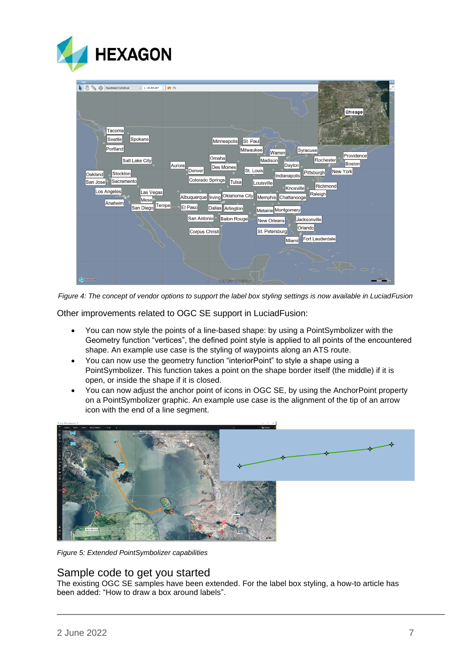

| Chicago                                                                                                                                                                                                                                                                                                  |
|----------------------------------------------------------------------------------------------------------------------------------------------------------------------------------------------------------------------------------------------------------------------------------------------------------|
|                                                                                                                                                                                                                                                                                                          |
| Tacoma<br>Spokane<br>Seattle<br>St. Paul<br>Minneapolis<br>Portland<br>Syracuse<br>Milwaukee<br>Warren                                                                                                                                                                                                   |
| Providence<br>Omaha<br>Rochester<br>Salt Lake City<br>Madison<br><b>Boston</b><br>Dayton<br>Auroral<br>Des Moines<br>$40^\circ$<br>St. Louis<br>Denver<br>New York<br>Pittsburgh<br>Stockton<br>Oakland<br>Indianapolis<br>Colorado Springs<br>Sacramento<br>Tulsa<br>San Jose<br>Louisville<br>Richmond |
| ■Knoxville<br>Los Angeles<br>Las Vegas<br>Raleigh<br>Oklahoma City<br>Memphis Chattanooga<br>Albuquerque    Irving<br>Mesa<br>Anaheim<br>Tempe<br>El Paso<br>San Diego<br>Dallas Arlington<br>Metairie Montgomery<br>30 <sup>o</sup>                                                                     |
| San Antonio <sup>n</sup><br>Baton Rouge<br>Jacksonville<br>New Orleans<br>Orlando<br>St. Petersburg<br>Corpus Christi<br>Fort Lauderdale<br>Miami                                                                                                                                                        |
| $20^\circ$<br>اٹر ص<br>$\frac{1}{2}$<br><b>A HEXAGON</b><br>N 24°12'37" W 102°55'08"                                                                                                                                                                                                                     |

*Figure 4: The concept of vendor options to support the label box styling settings is now available in LuciadFusion*

Other improvements related to OGC SE support in LuciadFusion:

- You can now style the points of a line-based shape: by using a PointSymbolizer with the Geometry function "vertices", the defined point style is applied to all points of the encountered shape. An example use case is the styling of waypoints along an ATS route.
- You can now use the geometry function "interiorPoint" to style a shape using a PointSymbolizer. This function takes a point on the shape border itself (the middle) if it is open, or inside the shape if it is closed.
- You can now adjust the anchor point of icons in OGC SE, by using the AnchorPoint property on a PointSymbolizer graphic. An example use case is the alignment of the tip of an arrow icon with the end of a line segment.



*Figure 5: Extended PointSymbolizer capabilities*

#### <span id="page-6-0"></span>Sample code to get you started

The existing OGC SE samples have been extended. For the label box styling, a how-to article has been added: "How to draw a box around labels".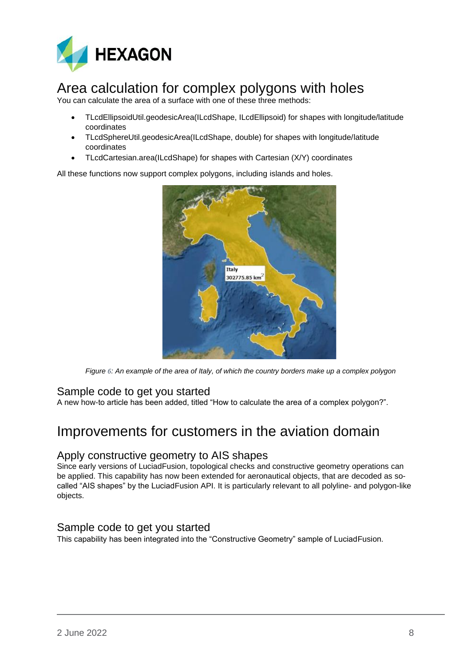

### <span id="page-7-0"></span>Area calculation for complex polygons with holes

You can calculate the area of a surface with one of these three methods:

- TLcdEllipsoidUtil.geodesicArea(ILcdShape, ILcdEllipsoid) for shapes with longitude/latitude coordinates
- TLcdSphereUtil.geodesicArea(ILcdShape, double) for shapes with longitude/latitude coordinates
- TLcdCartesian.area(ILcdShape) for shapes with Cartesian (X/Y) coordinates

All these functions now support complex polygons, including islands and holes.



*Figure 6: An example of the area of Italy, of which the country borders make up a complex polygon*

### <span id="page-7-1"></span>Sample code to get you started

A new how-to article has been added, titled "How to calculate the area of a complex polygon?".

### <span id="page-7-2"></span>Improvements for customers in the aviation domain

### <span id="page-7-3"></span>Apply constructive geometry to AIS shapes

Since early versions of LuciadFusion, topological checks and constructive geometry operations can be applied. This capability has now been extended for aeronautical objects, that are decoded as socalled "AIS shapes" by the LuciadFusion API. It is particularly relevant to all polyline- and polygon-like objects.

### <span id="page-7-4"></span>Sample code to get you started

This capability has been integrated into the "Constructive Geometry" sample of LuciadFusion.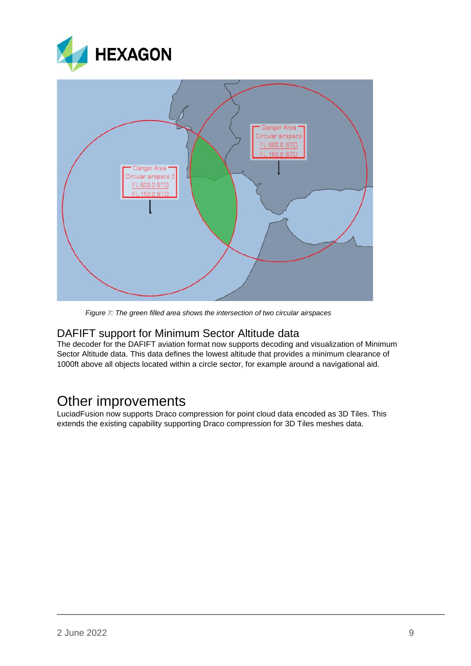



*Figure 7: The green filled area shows the intersection of two circular airspaces*

#### <span id="page-8-0"></span>DAFIFT support for Minimum Sector Altitude data

The decoder for the DAFIFT aviation format now supports decoding and visualization of Minimum Sector Altitude data. This data defines the lowest altitude that provides a minimum clearance of 1000ft above all objects located within a circle sector, for example around a navigational aid.

### <span id="page-8-1"></span>Other improvements

LuciadFusion now supports Draco compression for point cloud data encoded as 3D Tiles. This extends the existing capability supporting Draco compression for 3D Tiles meshes data.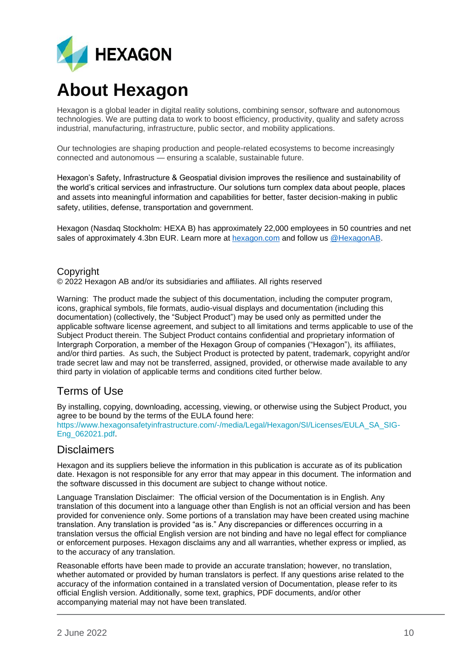

## **About Hexagon**

Hexagon is a global leader in digital reality solutions, combining sensor, software and autonomous technologies. We are putting data to work to boost efficiency, productivity, quality and safety across industrial, manufacturing, infrastructure, public sector, and mobility applications.

Our technologies are shaping production and people-related ecosystems to become increasingly connected and autonomous — ensuring a scalable, sustainable future.

Hexagon's Safety, Infrastructure & Geospatial division improves the resilience and sustainability of the world's critical services and infrastructure. Our solutions turn complex data about people, places and assets into meaningful information and capabilities for better, faster decision-making in public safety, utilities, defense, transportation and government.

Hexagon (Nasdaq Stockholm: HEXA B) has approximately 22,000 employees in 50 countries and net sales of approximately 4.3bn EUR. Learn more at [hexagon.com](https://hexagon.com/) and follow us [@HexagonAB.](https://twitter.com/hexagonab)

#### Copyright

© 2022 Hexagon AB and/or its subsidiaries and affiliates. All rights reserved

Warning: The product made the subject of this documentation, including the computer program, icons, graphical symbols, file formats, audio-visual displays and documentation (including this documentation) (collectively, the "Subject Product") may be used only as permitted under the applicable software license agreement, and subject to all limitations and terms applicable to use of the Subject Product therein. The Subject Product contains confidential and proprietary information of Intergraph Corporation, a member of the Hexagon Group of companies ("Hexagon"), its affiliates, and/or third parties. As such, the Subject Product is protected by patent, trademark, copyright and/or trade secret law and may not be transferred, assigned, provided, or otherwise made available to any third party in violation of applicable terms and conditions cited further below.

### Terms of Use

By installing, copying, downloading, accessing, viewing, or otherwise using the Subject Product, you agree to be bound by the terms of the EULA found here: [https://www.hexagonsafetyinfrastructure.com/-/media/Legal/Hexagon/SI/Licenses/EULA\\_SA\\_SIG-](https://www.hexagonsafetyinfrastructure.com/-/media/Legal/Hexagon/SI/Licenses/EULA_SA_SIG-Eng_062021.pdf)[Eng\\_062021.pdf.](https://www.hexagonsafetyinfrastructure.com/-/media/Legal/Hexagon/SI/Licenses/EULA_SA_SIG-Eng_062021.pdf)

### **Disclaimers**

Hexagon and its suppliers believe the information in this publication is accurate as of its publication date. Hexagon is not responsible for any error that may appear in this document. The information and the software discussed in this document are subject to change without notice.

Language Translation Disclaimer: The official version of the Documentation is in English. Any translation of this document into a language other than English is not an official version and has been provided for convenience only. Some portions of a translation may have been created using machine translation. Any translation is provided "as is." Any discrepancies or differences occurring in a translation versus the official English version are not binding and have no legal effect for compliance or enforcement purposes. Hexagon disclaims any and all warranties, whether express or implied, as to the accuracy of any translation.

Reasonable efforts have been made to provide an accurate translation; however, no translation, whether automated or provided by human translators is perfect. If any questions arise related to the accuracy of the information contained in a translated version of Documentation, please refer to its official English version. Additionally, some text, graphics, PDF documents, and/or other accompanying material may not have been translated.